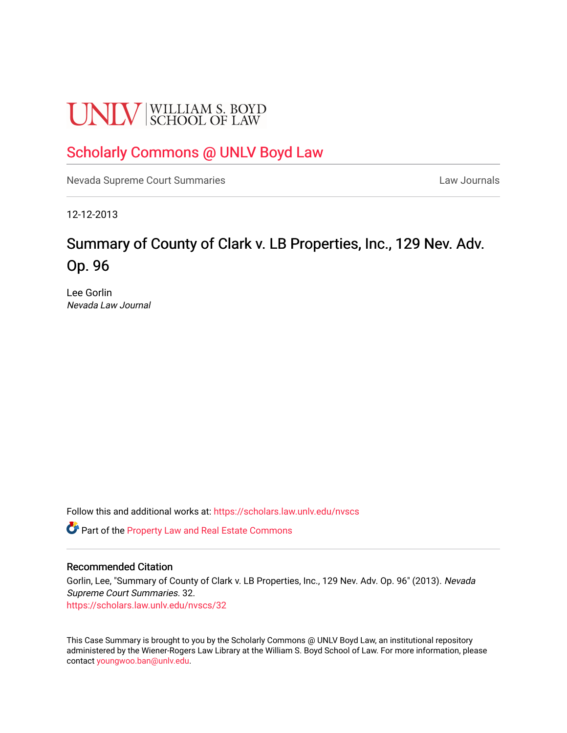# **UNLV** SCHOOL OF LAW

# [Scholarly Commons @ UNLV Boyd Law](https://scholars.law.unlv.edu/)

[Nevada Supreme Court Summaries](https://scholars.law.unlv.edu/nvscs) **Law Journals** Law Journals

12-12-2013

# Summary of County of Clark v. LB Properties, Inc., 129 Nev. Adv. Op. 96

Lee Gorlin Nevada Law Journal

Follow this and additional works at: [https://scholars.law.unlv.edu/nvscs](https://scholars.law.unlv.edu/nvscs?utm_source=scholars.law.unlv.edu%2Fnvscs%2F32&utm_medium=PDF&utm_campaign=PDFCoverPages)

Part of the [Property Law and Real Estate Commons](http://network.bepress.com/hgg/discipline/897?utm_source=scholars.law.unlv.edu%2Fnvscs%2F32&utm_medium=PDF&utm_campaign=PDFCoverPages) 

#### Recommended Citation

Gorlin, Lee, "Summary of County of Clark v. LB Properties, Inc., 129 Nev. Adv. Op. 96" (2013). Nevada Supreme Court Summaries. 32. [https://scholars.law.unlv.edu/nvscs/32](https://scholars.law.unlv.edu/nvscs/32?utm_source=scholars.law.unlv.edu%2Fnvscs%2F32&utm_medium=PDF&utm_campaign=PDFCoverPages) 

This Case Summary is brought to you by the Scholarly Commons @ UNLV Boyd Law, an institutional repository administered by the Wiener-Rogers Law Library at the William S. Boyd School of Law. For more information, please contact [youngwoo.ban@unlv.edu](mailto:youngwoo.ban@unlv.edu).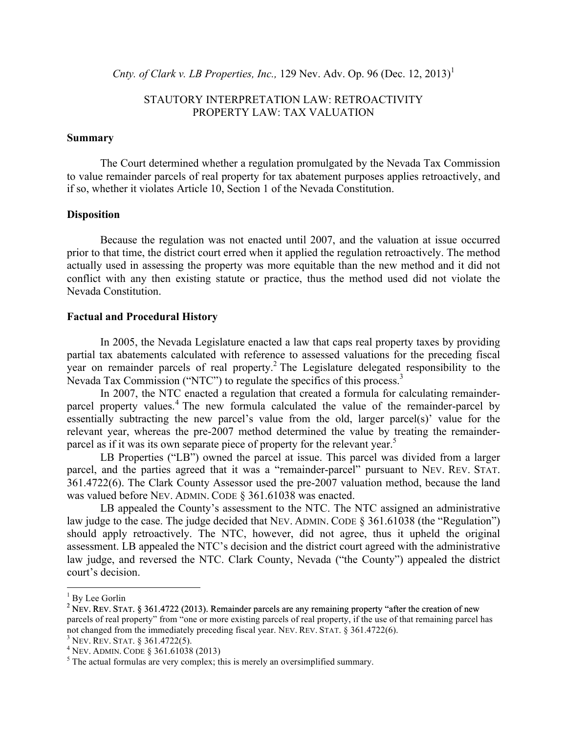*Cnty. of Clark v. LB Properties, Inc.,* 129 Nev. Adv. Op. 96 (Dec. 12, 2013)<sup>1</sup>

## STAUTORY INTERPRETATION LAW: RETROACTIVITY PROPERTY LAW: TAX VALUATION

#### **Summary**

The Court determined whether a regulation promulgated by the Nevada Tax Commission to value remainder parcels of real property for tax abatement purposes applies retroactively, and if so, whether it violates Article 10, Section 1 of the Nevada Constitution.

#### **Disposition**

Because the regulation was not enacted until 2007, and the valuation at issue occurred prior to that time, the district court erred when it applied the regulation retroactively. The method actually used in assessing the property was more equitable than the new method and it did not conflict with any then existing statute or practice, thus the method used did not violate the Nevada Constitution.

#### **Factual and Procedural History**

In 2005, the Nevada Legislature enacted a law that caps real property taxes by providing partial tax abatements calculated with reference to assessed valuations for the preceding fiscal year on remainder parcels of real property.<sup>2</sup> The Legislature delegated responsibility to the Nevada Tax Commission ("NTC") to regulate the specifics of this process.3

In 2007, the NTC enacted a regulation that created a formula for calculating remainderparcel property values.<sup>4</sup> The new formula calculated the value of the remainder-parcel by essentially subtracting the new parcel's value from the old, larger parcel(s)' value for the relevant year, whereas the pre-2007 method determined the value by treating the remainderparcel as if it was its own separate piece of property for the relevant year.<sup>5</sup>

LB Properties ("LB") owned the parcel at issue. This parcel was divided from a larger parcel, and the parties agreed that it was a "remainder-parcel" pursuant to NEV. REV. STAT. 361.4722(6). The Clark County Assessor used the pre-2007 valuation method, because the land was valued before NEV. ADMIN. CODE § 361.61038 was enacted.

LB appealed the County's assessment to the NTC. The NTC assigned an administrative law judge to the case. The judge decided that NEV. ADMIN. CODE § 361.61038 (the "Regulation") should apply retroactively. The NTC, however, did not agree, thus it upheld the original assessment. LB appealed the NTC's decision and the district court agreed with the administrative law judge, and reversed the NTC. Clark County, Nevada ("the County") appealed the district court's decision.

<sup>&</sup>lt;sup>1</sup> By Lee Gorlin

<sup>&</sup>lt;sup>2</sup> NEV. REV. STAT. § 361.4722 (2013). Remainder parcels are any remaining property "after the creation of new parcels of real property" from "one or more existing parcels of real property, if the use of that remaining parcel has not changed from the immediately preceding fiscal year. NEV. REV. STAT. § 361.4722(6).<br><sup>3</sup> NEV. REV. STAT. § 361.4722(5).<br><sup>4</sup> NEV. ADMIN. CODE § 361.61038 (2013)<br><sup>5</sup> The actual formulas are very complex; this is merely an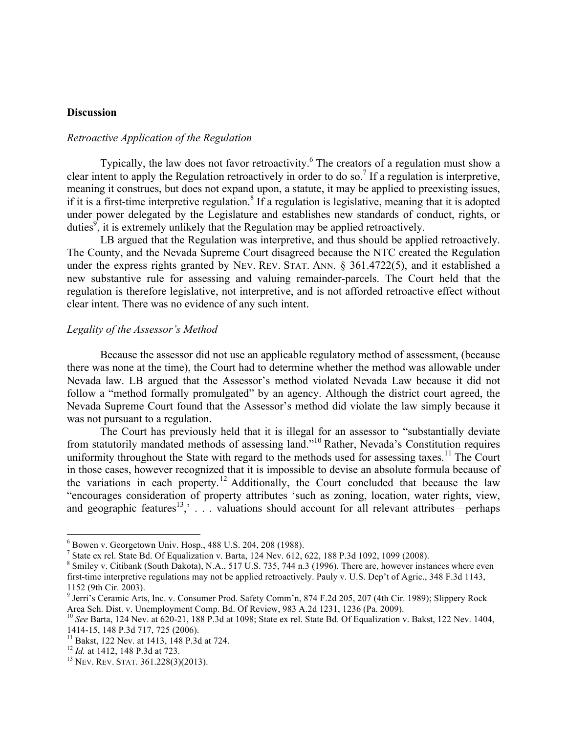# **Discussion**

# *Retroactive Application of the Regulation*

Typically, the law does not favor retroactivity.<sup>6</sup> The creators of a regulation must show a clear intent to apply the Regulation retroactively in order to do so.<sup>7</sup> If a regulation is interpretive, meaning it construes, but does not expand upon, a statute, it may be applied to preexisting issues, if it is a first-time interpretive regulation.<sup>8</sup> If a regulation is legislative, meaning that it is adopted under power delegated by the Legislature and establishes new standards of conduct, rights, or duties<sup>9</sup>, it is extremely unlikely that the Regulation may be applied retroactively.

LB argued that the Regulation was interpretive, and thus should be applied retroactively. The County, and the Nevada Supreme Court disagreed because the NTC created the Regulation under the express rights granted by NEV. REV. STAT. ANN. § 361.4722(5), and it established a new substantive rule for assessing and valuing remainder-parcels. The Court held that the regulation is therefore legislative, not interpretive, and is not afforded retroactive effect without clear intent. There was no evidence of any such intent.

## *Legality of the Assessor's Method*

Because the assessor did not use an applicable regulatory method of assessment, (because there was none at the time), the Court had to determine whether the method was allowable under Nevada law. LB argued that the Assessor's method violated Nevada Law because it did not follow a "method formally promulgated" by an agency. Although the district court agreed, the Nevada Supreme Court found that the Assessor's method did violate the law simply because it was not pursuant to a regulation.

The Court has previously held that it is illegal for an assessor to "substantially deviate from statutorily mandated methods of assessing land."<sup>10</sup> Rather, Nevada's Constitution requires uniformity throughout the State with regard to the methods used for assessing taxes.<sup>11</sup> The Court in those cases, however recognized that it is impossible to devise an absolute formula because of the variations in each property.<sup>12</sup> Additionally, the Court concluded that because the law "encourages consideration of property attributes 'such as zoning, location, water rights, view, and geographic features<sup>13</sup>, . . . valuations should account for all relevant attributes—perhaps

 $^6$  Bowen v. Georgetown Univ. Hosp., 488 U.S. 204, 208 (1988).<br><sup>7</sup> State ex rel. State Bd. Of Equalization v. Barta, 124 Nev. 612, 622, 188 P.3d 1092, 1099 (2008).

<sup>&</sup>lt;sup>8</sup> Smiley v. Citibank (South Dakota), N.A., 517 U.S. 735, 744 n.3 (1996). There are, however instances where even first-time interpretive regulations may not be applied retroactively. Pauly v. U.S. Dep't of Agric., 348 F.3d 1143, 1152 (9th Cir. 2003).

<sup>9</sup> Jerri's Ceramic Arts, Inc. v. Consumer Prod. Safety Comm'n, 874 F.2d 205, 207 (4th Cir. 1989); Slippery Rock Area Sch. Dist. v. Unemployment Comp. Bd. Of Review, 983 A.2d 1231, 1236 (Pa. 2009).

<sup>&</sup>lt;sup>10</sup> See Barta, 124 Nev. at 620-21, 188 P.3d at 1098; State ex rel. State Bd. Of Equalization v. Bakst, 122 Nev. 1404, 1414-15, 148 P.3d 717, 725 (2006).<br><sup>11</sup> Bakst, 122 Nev. at 1413, 148 P.3d at 724.<br><sup>12</sup> *Id.* at 1412, 148 P.3d at 723.<br><sup>13</sup> NEV. REV. STAT. 361.228(3)(2013).